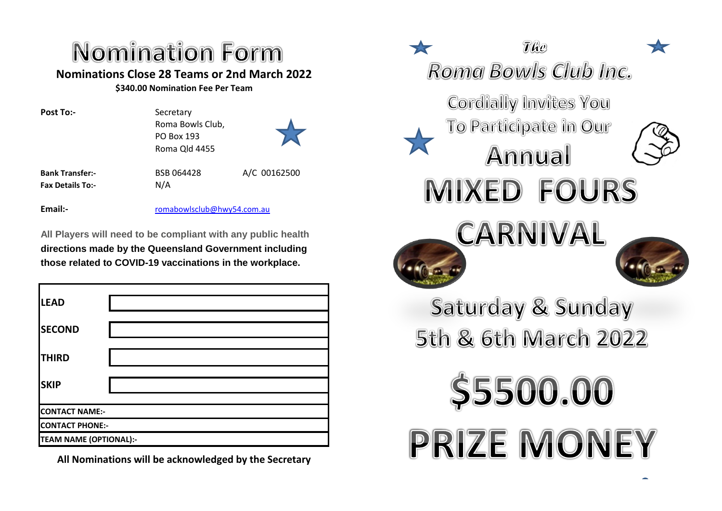## Nomination Form **Nominations Close 28 Teams or 2nd March 2022**

**\$340.00 Nomination Fee Per Team**

PO Box 193 Roma Qld 4455

Post To:-<br>
Secretary Roma Bowls Club,



A/C 00162500

**Bank Transfer:-** BSB 064428 **Fax Details To:-** N/A

**Email:-** [romabowlsclub@hwy54.com.au](mailto:romabowlsclub@hwy54.com.au)

**All Players will need to be compliant with any public health directions made by the Queensland Government including those related to COVID-19 vaccinations in the workplace.** 

| <b>LEAD</b>                   |  |  |  |
|-------------------------------|--|--|--|
| <b>SECOND</b>                 |  |  |  |
| <b>THIRD</b>                  |  |  |  |
| <b>SKIP</b>                   |  |  |  |
| <b>CONTACT NAME:-</b>         |  |  |  |
| <b>CONTACT PHONE:-</b>        |  |  |  |
| <b>TEAM NAME (OPTIONAL):-</b> |  |  |  |

**All Nominations will be acknowledged by the Secretary**